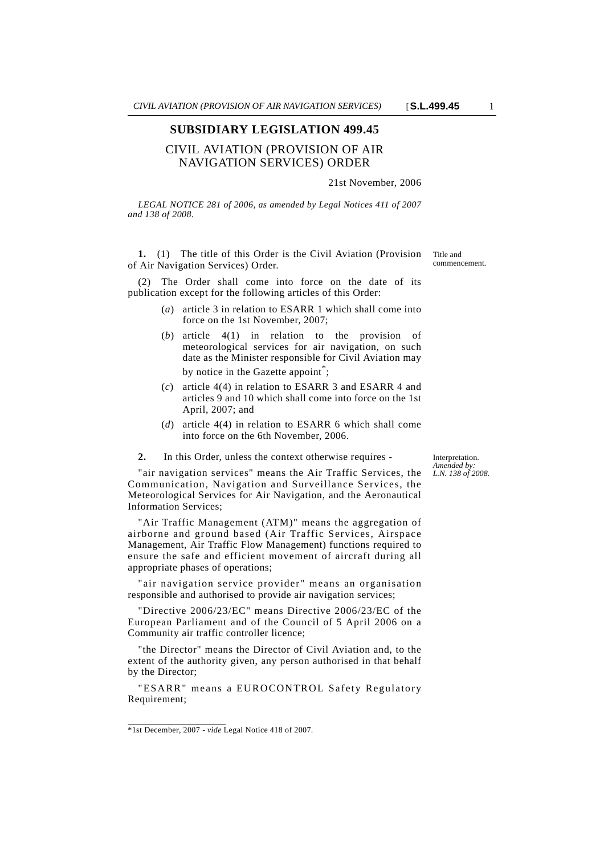#### **SUBSIDIARY LEGISLATION 499.45**

# CIVIL AVIATION (PROVISION OF AIR NAVIGATION SERVICES) ORDER

## 21st November, 2006

*LEGAL NOTICE 281 of 2006, as amended by Legal Notices 411 of 2007 and 138 of 2008.*

**1.** (1) The title of this Order is the Civil Aviation (Provision of Air Navigation Services) Order.

The Order shall come into force on the date of its publication except for the following articles of this Order:

- (*a*) article 3 in relation to ESARR 1 which shall come into force on the 1st November, 2007;
- (*b*) article 4(1) in relation to the provision of meteorological services for air navigation, on such date as the Minister responsible for Civil Aviation may by notice in the Gazette appoint<sup>\*</sup>;
- (*c*) article 4(4) in relation to ESARR 3 and ESARR 4 and articles 9 and 10 which shall come into force on the 1st April, 2007; and
- (*d*) article 4(4) in relation to ESARR 6 which shall come into force on the 6th November, 2006.
- **2.** In this Order, unless the context otherwise requires -

Interpretation. *Amended by: L.N. 138 of 2008.*

"air navigation services" means the Air Traffic Services, the Communication, Navigation and Surveillance Services, the Meteorological Services for Air Navigation, and the Aeronautical Information Services;

"Air Traffic Management (ATM)" means the aggregation of airborne and ground based (Air Traffic Services, Airspace Management, Air Traffic Flow Management) functions required to ensure the safe and efficient movement of aircraft during all appropriate phases of operations;

"air navigation service provider" means an organisation responsible and authorised to provide air navigation services;

"Directive 2006/23/EC" means Directive 2006/23/EC of the European Parliament and of the Council of 5 April 2006 on a Community air traffic controller licence;

"the Director" means the Director of Civil Aviation and, to the extent of the authority given, any person authorised in that behalf by the Director;

"ESARR" means a EUROCONTROL Safety Regulatory Requirement;

Title and commencement.

<sup>\*1</sup>st December, 2007 - *vide* Legal Notice 418 of 2007.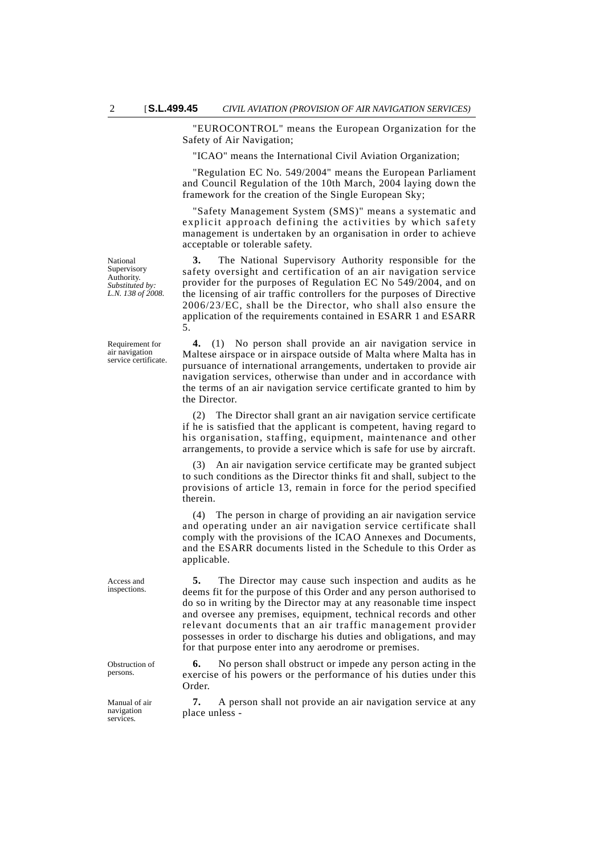"EUROCONTROL" means the European Organization for the Safety of Air Navigation;

"ICAO" means the International Civil Aviation Organization;

"Regulation EC No. 549/2004" means the European Parliament and Council Regulation of the 10th March, 2004 laying down the framework for the creation of the Single European Sky;

"Safety Management System (SMS)" means a systematic and explicit approach defining the activities by which safety management is undertaken by an organisation in order to achieve acceptable or tolerable safety.

**3.** The National Supervisory Authority responsible for the safety oversight and certification of an air navigation service provider for the purposes of Regulation EC No 549/2004, and on the licensing of air traffic controllers for the purposes of Directive 2006/23/EC, shall be the Director, who shall also ensure the application of the requirements contained in ESARR 1 and ESARR 5.

**4.** (1) No person shall provide an air navigation service in Maltese airspace or in airspace outside of Malta where Malta has in pursuance of international arrangements, undertaken to provide air navigation services, otherwise than under and in accordance with the terms of an air navigation service certificate granted to him by the Director.

(2) The Director shall grant an air navigation service certificate if he is satisfied that the applicant is competent, having regard to his organisation, staffing, equipment, maintenance and other arrangements, to provide a service which is safe for use by aircraft.

(3) An air navigation service certificate may be granted subject to such conditions as the Director thinks fit and shall, subject to the provisions of article 13, remain in force for the period specified therein.

(4) The person in charge of providing an air navigation service and operating under an air navigation service certificate shall comply with the provisions of the ICAO Annexes and Documents, and the ESARR documents listed in the Schedule to this Order as applicable.

**5.** The Director may cause such inspection and audits as he deems fit for the purpose of this Order and any person authorised to do so in writing by the Director may at any reasonable time inspect and oversee any premises, equipment, technical records and other relevant documents that an air traffic management provider possesses in order to discharge his duties and obligations, and may for that purpose enter into any aerodrome or premises.

**6.** No person shall obstruct or impede any person acting in the exercise of his powers or the performance of his duties under this Order.

**7.** A person shall not provide an air navigation service at any place unless -

National Supervisory Authority. *Substituted by: L.N. 138 of 2008.*

Requirement for air navigation service certificate.

Access and inspections.

Obstruction of persons.

Manual of air navigation services.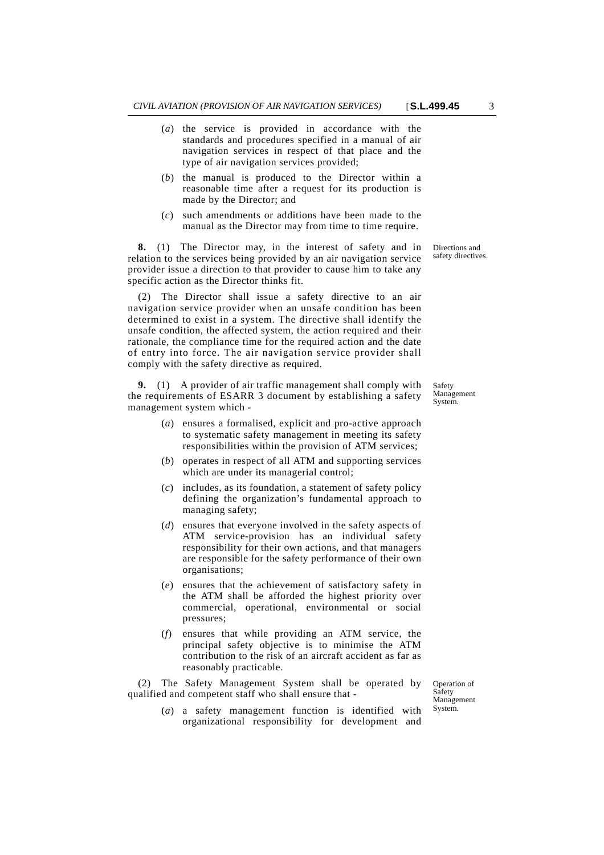- (*a*) the service is provided in accordance with the standards and procedures specified in a manual of air navigation services in respect of that place and the type of air navigation services provided;
- (*b*) the manual is produced to the Director within a reasonable time after a request for its production is made by the Director; and
- (*c*) such amendments or additions have been made to the manual as the Director may from time to time require.

**8.** (1) The Director may, in the interest of safety and in relation to the services being provided by an air navigation service provider issue a direction to that provider to cause him to take any specific action as the Director thinks fit.

(2) The Director shall issue a safety directive to an air navigation service provider when an unsafe condition has been determined to exist in a system. The directive shall identify the unsafe condition, the affected system, the action required and their rationale, the compliance time for the required action and the date of entry into force. The air navigation service provider shall comply with the safety directive as required.

**9.** (1) A provider of air traffic management shall comply with the requirements of ESARR 3 document by establishing a safety management system which -

- (*a*) ensures a formalised, explicit and pro-active approach to systematic safety management in meeting its safety responsibilities within the provision of ATM services;
- (*b*) operates in respect of all ATM and supporting services which are under its managerial control;
- (*c*) includes, as its foundation, a statement of safety policy defining the organization's fundamental approach to managing safety;
- (*d*) ensures that everyone involved in the safety aspects of ATM service-provision has an individual safety responsibility for their own actions, and that managers are responsible for the safety performance of their own organisations;
- (*e*) ensures that the achievement of satisfactory safety in the ATM shall be afforded the highest priority over commercial, operational, environmental or social pressures;
- (*f*) ensures that while providing an ATM service, the principal safety objective is to minimise the ATM contribution to the risk of an aircraft accident as far as reasonably practicable.

(2) The Safety Management System shall be operated by qualified and competent staff who shall ensure that -

> (*a*) a safety management function is identified with organizational responsibility for development and

Operation of Safety Management System.

Safety Management System.

Directions and safety directives.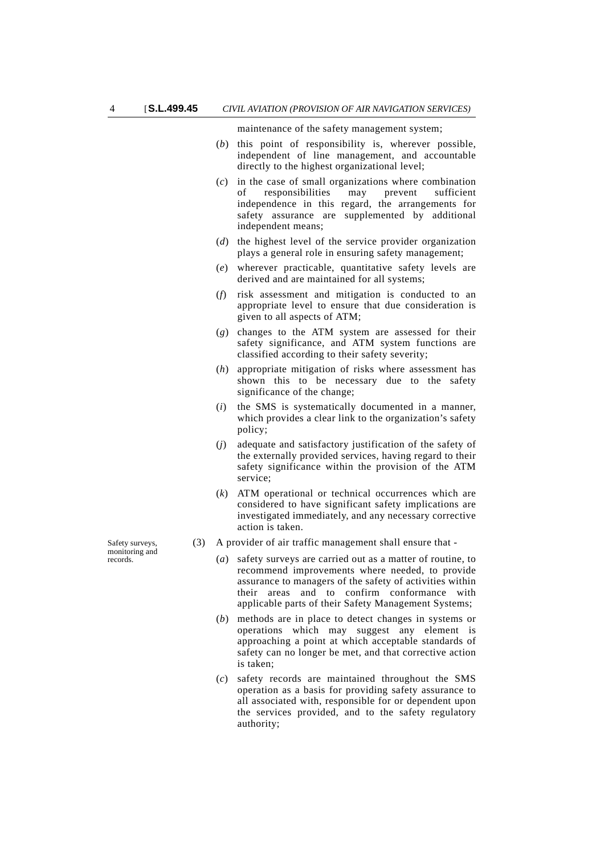maintenance of the safety management system;

- (*b*) this point of responsibility is, wherever possible, independent of line management, and accountable directly to the highest organizational level;
- (*c*) in the case of small organizations where combination of responsibilities may prevent sufficient independence in this regard, the arrangements for safety assurance are supplemented by additional independent means;
- (*d*) the highest level of the service provider organization plays a general role in ensuring safety management;
- (*e*) wherever practicable, quantitative safety levels are derived and are maintained for all systems;
- (*f*) risk assessment and mitigation is conducted to an appropriate level to ensure that due consideration is given to all aspects of ATM;
- (*g*) changes to the ATM system are assessed for their safety significance, and ATM system functions are classified according to their safety severity;
- (*h*) appropriate mitigation of risks where assessment has shown this to be necessary due to the safety significance of the change;
- (*i*) the SMS is systematically documented in a manner, which provides a clear link to the organization's safety policy;
- (*j*) adequate and satisfactory justification of the safety of the externally provided services, having regard to their safety significance within the provision of the ATM service;
- (*k*) ATM operational or technical occurrences which are considered to have significant safety implications are investigated immediately, and any necessary corrective action is taken.
- (3) A provider of air traffic management shall ensure that
	- (*a*) safety surveys are carried out as a matter of routine, to recommend improvements where needed, to provide assurance to managers of the safety of activities within their areas and to confirm conformance with applicable parts of their Safety Management Systems;
	- (*b*) methods are in place to detect changes in systems or operations which may suggest any element is approaching a point at which acceptable standards of safety can no longer be met, and that corrective action is taken;
	- (*c*) safety records are maintained throughout the SMS operation as a basis for providing safety assurance to all associated with, responsible for or dependent upon the services provided, and to the safety regulatory authority;

Safety surveys, monitoring and records.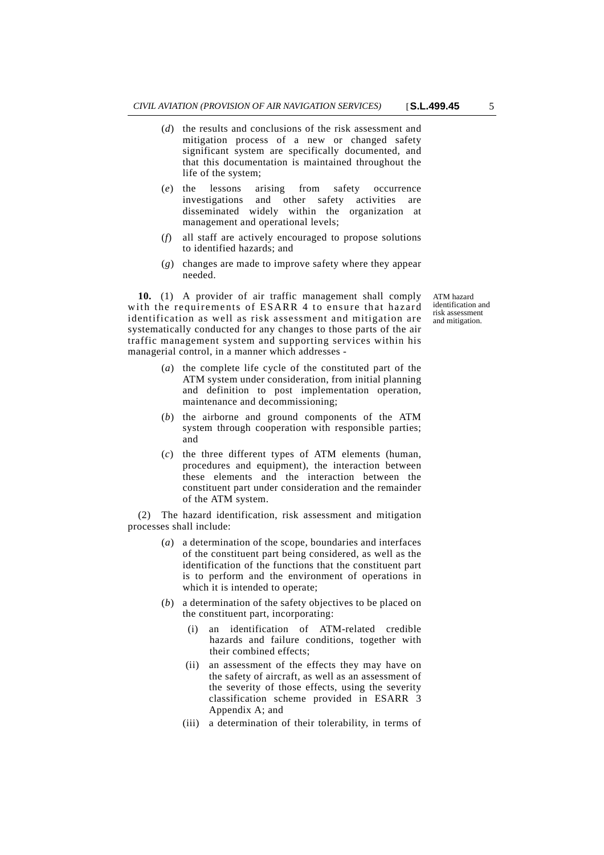- (*d*) the results and conclusions of the risk assessment and mitigation process of a new or changed safety significant system are specifically documented, and that this documentation is maintained throughout the life of the system;
- (*e*) the lessons arising from safety occurrence investigations and other safety activities are disseminated widely within the organization at management and operational levels;
- (*f*) all staff are actively encouraged to propose solutions to identified hazards; and
- (*g*) changes are made to improve safety where they appear needed.

**10.** (1) A provider of air traffic management shall comply with the requirements of ESARR 4 to ensure that hazard identification as well as risk assessment and mitigation are systematically conducted for any changes to those parts of the air traffic management system and supporting services within his managerial control, in a manner which addresses -

- (*a*) the complete life cycle of the constituted part of the ATM system under consideration, from initial planning and definition to post implementation operation, maintenance and decommissioning;
- (*b*) the airborne and ground components of the ATM system through cooperation with responsible parties; and
- (*c*) the three different types of ATM elements (human, procedures and equipment), the interaction between these elements and the interaction between the constituent part under consideration and the remainder of the ATM system.

(2) The hazard identification, risk assessment and mitigation processes shall include:

- (*a*) a determination of the scope, boundaries and interfaces of the constituent part being considered, as well as the identification of the functions that the constituent part is to perform and the environment of operations in which it is intended to operate;
- (*b*) a determination of the safety objectives to be placed on the constituent part, incorporating:
	- (i) an identification of ATM-related credible hazards and failure conditions, together with their combined effects;
	- (ii) an assessment of the effects they may have on the safety of aircraft, as well as an assessment of the severity of those effects, using the severity classification scheme provided in ESARR 3 Appendix A; and
	- (iii) a determination of their tolerability, in terms of

ATM hazard identification and risk assessment and mitigation.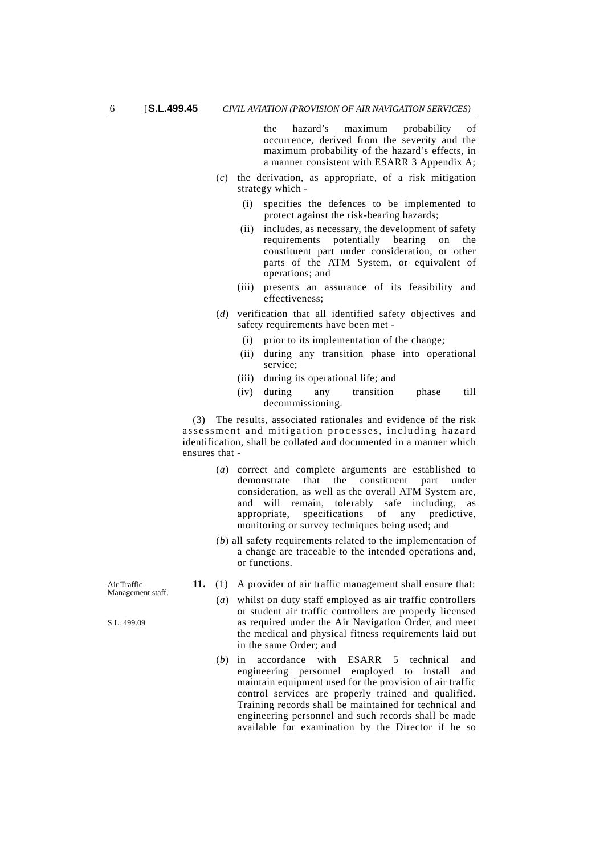the hazard's maximum probability of occurrence, derived from the severity and the maximum probability of the hazard's effects, in a manner consistent with ESARR 3 Appendix A;

- (*c*) the derivation, as appropriate, of a risk mitigation strategy which -
	- (i) specifies the defences to be implemented to protect against the risk-bearing hazards;
	- (ii) includes, as necessary, the development of safety requirements potentially bearing on the constituent part under consideration, or other parts of the ATM System, or equivalent of operations; and
	- (iii) presents an assurance of its feasibility and effectiveness;
- (*d*) verification that all identified safety objectives and safety requirements have been met -
	- (i) prior to its implementation of the change;
	- (ii) during any transition phase into operational service;
	- (iii) during its operational life; and
	- (iv) during any transition phase till decommissioning.

(3) The results, associated rationales and evidence of the risk assessment and mitigation processes, including hazard identification, shall be collated and documented in a manner which ensures that -

- (*a*) correct and complete arguments are established to demonstrate that the constituent part under consideration, as well as the overall ATM System are, and will remain, tolerably safe including, as appropriate, specifications of any predictive, monitoring or survey techniques being used; and
- (*b*) all safety requirements related to the implementation of a change are traceable to the intended operations and, or functions.
- **11.** (1) A provider of air traffic management shall ensure that:
	- (*a*) whilst on duty staff employed as air traffic controllers or student air traffic controllers are properly licensed as required under the Air Navigation Order, and meet the medical and physical fitness requirements laid out in the same Order; and
	- (*b*) in accordance with ESARR 5 technical and engineering personnel employed to install and maintain equipment used for the provision of air traffic control services are properly trained and qualified. Training records shall be maintained for technical and engineering personnel and such records shall be made available for examination by the Director if he so

Air Traffic Management staff.

S.L. 499.09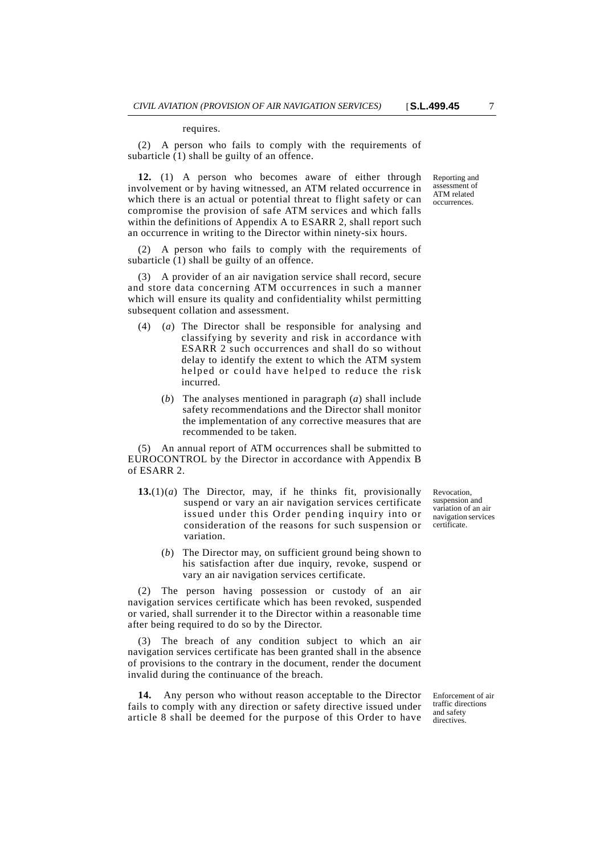(2) A person who fails to comply with the requirements of subarticle (1) shall be guilty of an offence.

**12.** (1) A person who becomes aware of either through involvement or by having witnessed, an ATM related occurrence in which there is an actual or potential threat to flight safety or can compromise the provision of safe ATM services and which falls within the definitions of Appendix A to ESARR 2, shall report such an occurrence in writing to the Director within ninety-six hours.

(2) A person who fails to comply with the requirements of subarticle (1) shall be guilty of an offence.

(3) A provider of an air navigation service shall record, secure and store data concerning ATM occurrences in such a manner which will ensure its quality and confidentiality whilst permitting subsequent collation and assessment.

- (4) (*a*) The Director shall be responsible for analysing and classifying by severity and risk in accordance with ESARR 2 such occurrences and shall do so without delay to identify the extent to which the ATM system helped or could have helped to reduce the risk incurred.
	- (*b*) The analyses mentioned in paragraph (*a*) shall include safety recommendations and the Director shall monitor the implementation of any corrective measures that are recommended to be taken.

(5) An annual report of ATM occurrences shall be submitted to EUROCONTROL by the Director in accordance with Appendix B of ESARR 2.

- **13.**(1)(*a*) The Director, may, if he thinks fit, provisionally suspend or vary an air navigation services certificate issued under this Order pending inquiry into or consideration of the reasons for such suspension or variation.
	- (*b*) The Director may, on sufficient ground being shown to his satisfaction after due inquiry, revoke, suspend or vary an air navigation services certificate.

(2) The person having possession or custody of an air navigation services certificate which has been revoked, suspended or varied, shall surrender it to the Director within a reasonable time after being required to do so by the Director.

(3) The breach of any condition subject to which an air navigation services certificate has been granted shall in the absence of provisions to the contrary in the document, render the document invalid during the continuance of the breach.

**14.** Any person who without reason acceptable to the Director fails to comply with any direction or safety directive issued under article 8 shall be deemed for the purpose of this Order to have Enforcement of air traffic directions and safety directives.

Revocation, suspension and variation of an air navigation services certificate.

Reporting and assessment of ATM related occurrences.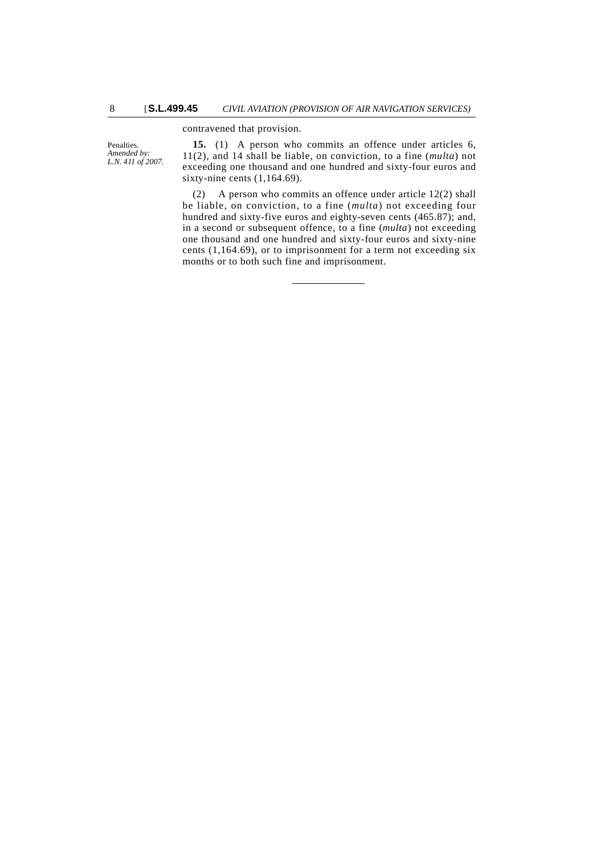## contravened that provision.

Penalties. *Amended by: L.N. 411 of 2007.*

**15.** (1) A person who commits an offence under articles 6, 11(2), and 14 shall be liable, on conviction, to a fine (*multa*) not exceeding one thousand and one hundred and sixty-four euros and sixty-nine cents (1,164.69).

(2) A person who commits an offence under article 12(2) shall be liable, on conviction, to a fine (*multa*) not exceeding four hundred and sixty-five euros and eighty-seven cents (465.87); and, in a second or subsequent offence, to a fine (*multa*) not exceeding one thousand and one hundred and sixty-four euros and sixty-nine cents (1,164.69), or to imprisonment for a term not exceeding six months or to both such fine and imprisonment.